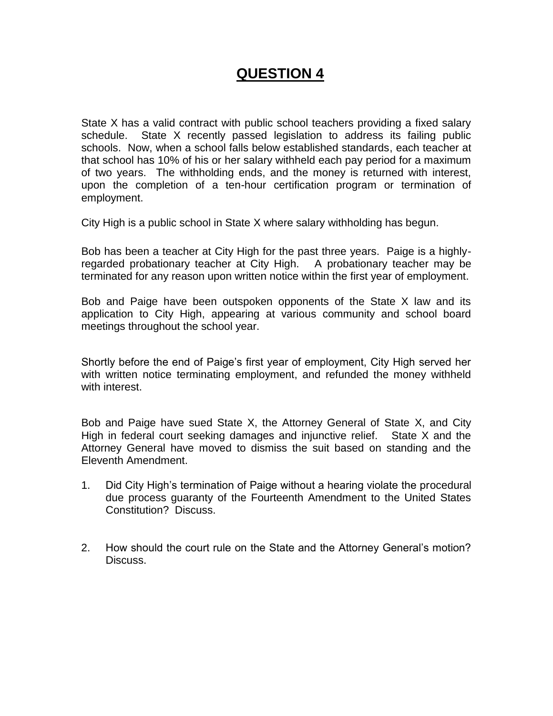# **QUESTION 4**

State X has a valid contract with public school teachers providing a fixed salary schedule. State X recently passed legislation to address its failing public schools. Now, when a school falls below established standards, each teacher at that school has 10% of his or her salary withheld each pay period for a maximum of two years. The withholding ends, and the money is returned with interest, upon the completion of a ten-hour certification program or termination of employment.

City High is a public school in State X where salary withholding has begun.

Bob has been a teacher at City High for the past three years. Paige is a highlyregarded probationary teacher at City High. A probationary teacher may be terminated for any reason upon written notice within the first year of employment.

Bob and Paige have been outspoken opponents of the State X law and its application to City High, appearing at various community and school board meetings throughout the school year.

Shortly before the end of Paige's first year of employment, City High served her with written notice terminating employment, and refunded the money withheld with interest.

Bob and Paige have sued State X, the Attorney General of State X, and City High in federal court seeking damages and injunctive relief. State X and the Attorney General have moved to dismiss the suit based on standing and the Eleventh Amendment.

- 1. Did City High's termination of Paige without a hearing violate the procedural due process guaranty of the Fourteenth Amendment to the United States Constitution? Discuss.
- 2. How should the court rule on the State and the Attorney General's motion? Discuss.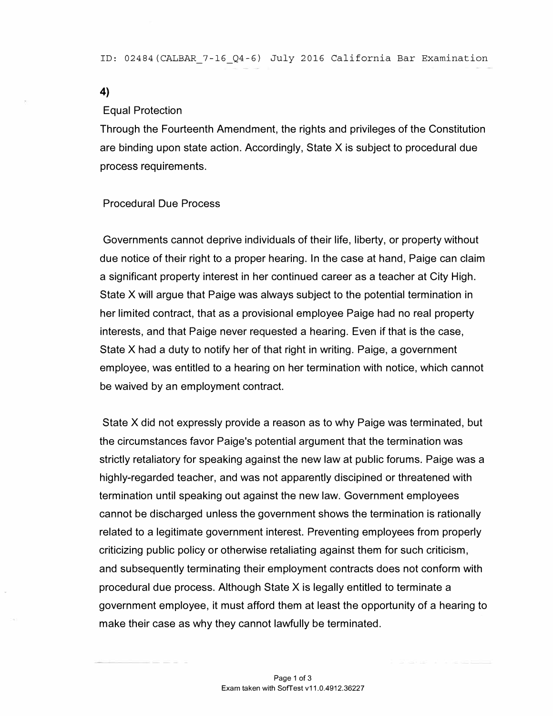4)

#### Equal Protection

Through the Fourteenth Amendment, the rights and privileges of the Constitution are binding upon state action. Accordingly, State  $X$  is subject to procedural due process requirements.

## Procedural Due Process

Governments cannot deprive individuals of their life, liberty, or property without due notice of their right to a proper hearing. In the case at hand, Paige can claim a significant property interest in her continued career as a teacher at City High. State X will argue that Paige was always subject to the potential termination in her limited contract, that as a provisional employee Paige had no real property interests, and that Paige never requested a hearing. Even if that is the case, State X had a duty to notify her of that right in writing. Paige, a government employee, was entitled to a hearing on her termination with notice, which cannot be waived by an employment contract.

State X did not expressly provide a reason as to why Paige was terminated, but the circumstances favor Paige's potential argument that the termination was strictly retaliatory for speaking against the new law at public forums. Paige was a highly-regarded teacher, and was not apparently discipined or threatened with termination until speaking out against the new law. Government employees cannot be discharged unless the government shows the termination is rationally related to a legitimate government interest. Preventing employees from properly criticizing public policy or otherwise retaliating against them for such criticism, and subsequently terminating their employment contracts does not conform with procedural due process. Although State X is legally entitled to terminate a government employee, it must afford them at least the opportunity of a hearing to make their case as why they cannot lawfully be terminated.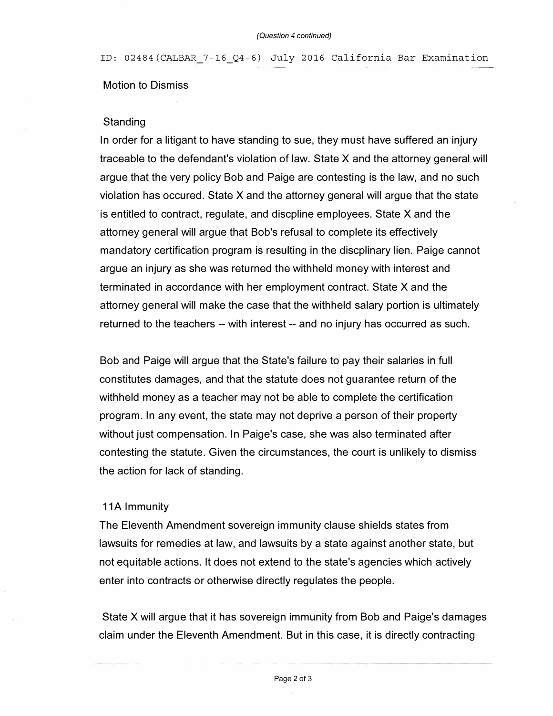ID: 02484(CALBAR 7-16\_Q4-6) July 2016 California Bar Examination

#### Motion to Dismiss

#### **Standing**

In order for a litigant to have standing to sue, they must have suffered an injury traceable to the defendant's violation of law. State X and the attorney general will argue that the very policy Bob and Paige are contesting is the law, and no such violation has occured. State X and the attorney general will argue that the state is entitled to contract, regulate, and discpline employees. State X and the attorney general will argue that Bob's refusal to complete its effectively mandatory certification program is resulting in the discplinary lien. Paige cannot argue an injury as she was returned the withheld money with interest and terminated in accordance with her employment contract. State X and the attorney general will make the case that the withheld salary portion is ultimately returned to the teachers -- with interest -- and no injury has occurred as such.

Bob and Paige will argue that the State's failure to pay their salaries in full constitutes damages, and that the statute does not guarantee return of the withheld money as a teacher may not be able to complete the certification program. In any event, the state may not deprive a person of their property without just compensation. In Paige's case, she was also terminated after contesting the statute. Given the circumstances, the court is unlikely to dismiss the action for lack of standing.

### 11A Immunity

The Eleventh Amendment sovereign immunity clause shields states from lawsuits for remedies at law, and lawsuits by a state against another state, but not equitable actions. It does not extend to the state's agencies which actively enter into contracts or otherwise directly regulates the people.

State X will argue that it has sovereign immunity from Bob and Paige's damages claim under the Eleventh Amendment. But in this case, it is directly contracting